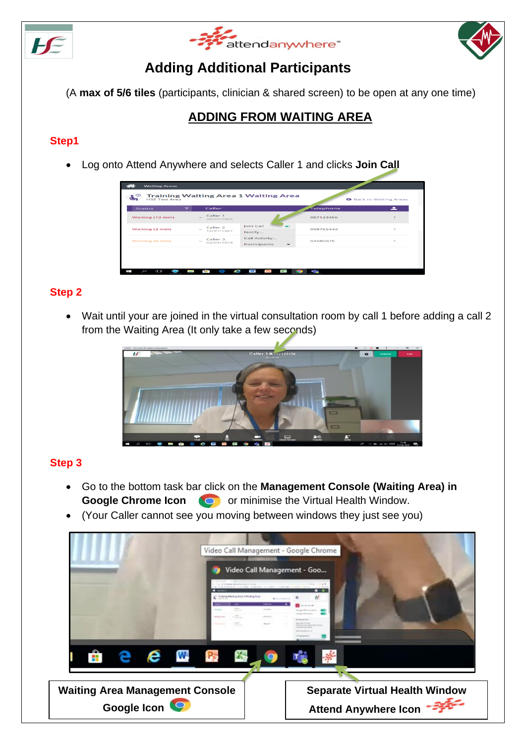





# **Adding Additional Participants**

(A **max of 5/6 tiles** (participants, clinician & shared screen) to be open at any one time)

## **ADDING FROM WAITING AREA**

### **Step1**

• Log onto Attend Anywhere and selects Caller 1 and clicks **Join Call**

| ▼.<br><b>Status</b> | Caller                           |                                          | Telephone | ∸            |
|---------------------|----------------------------------|------------------------------------------|-----------|--------------|
| Waiting (13 min)    | Caller 1<br>$\sim$<br>26/07/1965 |                                          | 087123456 |              |
| Waiting (3 min)     | Caller <sub>2</sub><br>$\sim$    | Join Call<br>$-601$                      | 098765432 | n            |
|                     | 12/01/1987                       | Notify                                   |           |              |
| Waiting (0 min)     | Caller 3<br>$\sim$               | Call Activity                            | 04580075  | $\mathbf{r}$ |
|                     | 02/04/1974                       | Participants<br>$\overline{\phantom{0}}$ |           |              |

### **Step 2**

• Wait until your are joined in the virtual consultation room by call 1 before adding a call 2 from the Waiting Area (It only take a few seconds)



#### **Step 3**

- Go to the bottom task bar click on the **Management Console (Waiting Area) in Google Chrome Icon Com** or minimise the Virtual Health Window.
- (Your Caller cannot see you moving between windows they just see you)

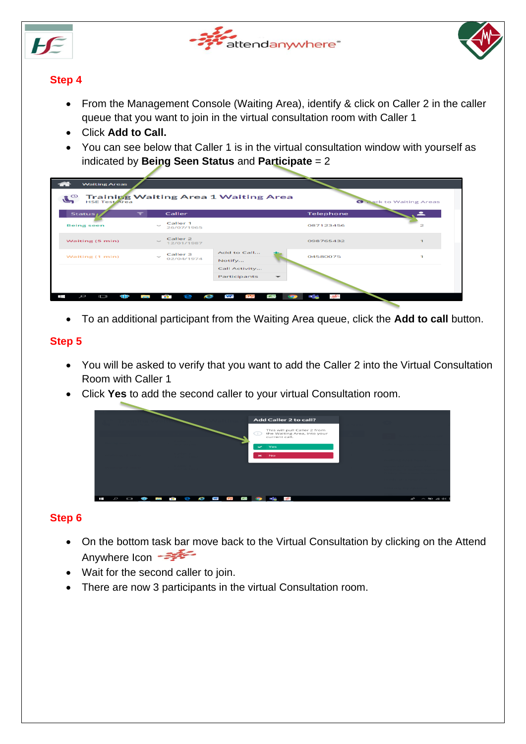





#### **Step 4**

- From the Management Console (Waiting Area), identify & click on Caller 2 in the caller queue that you want to join in the virtual consultation room with Caller 1
- Click **Add to Call.**
- You can see below that Caller 1 is in the virtual consultation window with yourself as indicated by **Being Seen Status** and **Participate** = 2

| <b>HSE Test Area</b> |        |                           |                       |                  | <b>G</b> Back to Waiting Areas |
|----------------------|--------|---------------------------|-----------------------|------------------|--------------------------------|
| Status,              | ▼      | Caller                    |                       | <b>Telephone</b> |                                |
| <b>Being seen</b>    | $\sim$ | Caller 1<br>26/07/1965    |                       | 087123456        | $\mathbf{z}$                   |
| Waiting (5 min)      | $\sim$ | Caller 2<br>12/01/1987    |                       | 098765432        | $\mathbf{r}$                   |
| Waiting (1 min)      | $\sim$ | $C$ aller 3<br>02/04/1974 | Add to Call<br>Notify | 04580075         | $\mathbf{I}$                   |
|                      |        |                           | Call Activity         |                  |                                |
|                      |        |                           | Participants<br>-     |                  |                                |

• To an additional participant from the Waiting Area queue, click the **Add to call** button.

#### **Step 5**

- You will be asked to verify that you want to add the Caller 2 into the Virtual Consultation Room with Caller 1
- Click **Yes** to add the second caller to your virtual Consultation room.

|              |        |             |               |                   |       |  |            |             |                          |                           | <b>Add Caller 2 to call?</b> |                                                             |  |  |              |                           |
|--------------|--------|-------------|---------------|-------------------|-------|--|------------|-------------|--------------------------|---------------------------|------------------------------|-------------------------------------------------------------|--|--|--------------|---------------------------|
|              |        |             |               |                   |       |  |            |             | $\bigcirc$               | current call.             |                              | This will pull Caller 2 from<br>the Waiting Area, into your |  |  |              |                           |
|              |        |             |               |                   |       |  |            |             |                          | $\blacktriangleright$ Yes |                              |                                                             |  |  |              |                           |
|              |        |             |               |                   |       |  |            |             | $\overline{\phantom{a}}$ | <b>No</b>                 |                              |                                                             |  |  |              |                           |
|              |        |             |               |                   |       |  |            |             |                          |                           |                              |                                                             |  |  |              |                           |
|              |        |             |               |                   |       |  |            |             |                          |                           |                              |                                                             |  |  |              |                           |
|              |        |             |               |                   |       |  |            |             |                          |                           |                              |                                                             |  |  |              |                           |
|              |        |             |               |                   |       |  |            |             |                          |                           |                              |                                                             |  |  |              |                           |
| $\circ$<br>Ī | $\Box$ | <b>STEP</b> | <b>County</b> | <b>CONTRACTOR</b> | e e w |  | <b>APP</b> | <b>CAST</b> |                          |                           | -seko-                       |                                                             |  |  | $58^{\circ}$ | $\sim$ 400 $\approx$ 40 0 |

#### **Step 6**

- On the bottom task bar move back to the Virtual Consultation by clicking on the Attend Anywhere Icon -
- Wait for the second caller to join.
- There are now 3 participants in the virtual Consultation room.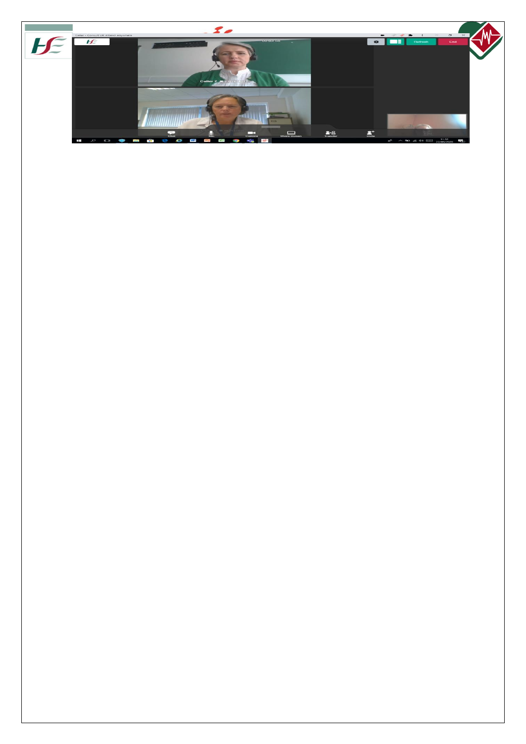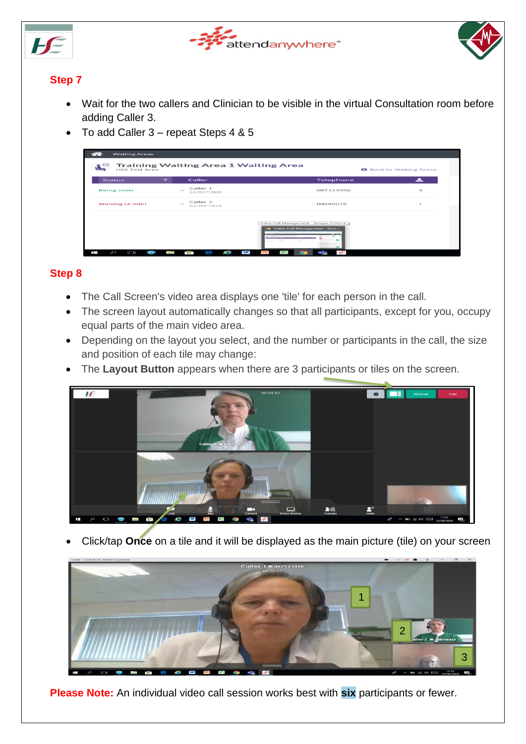





### **Step 7**

- Wait for the two callers and Clinician to be visible in the virtual Consultation room before adding Caller 3.
- To add Caller 3 repeat Steps 4 & 5



#### **Step 8**

- The Call Screen's video area displays one 'tile' for each person in the call.
- The screen layout automatically changes so that all participants, except for you, occupy equal parts of the main video area.
- Depending on the layout you select, and the number or participants in the call, the size and position of each tile may change:
- The **Layout Button** appears when there are 3 participants or tiles on the screen.



• Click/tap **Once** on a tile and it will be displayed as the main picture (tile) on your screen



**Please Note:** An individual video call session works best with **six** participants or fewer.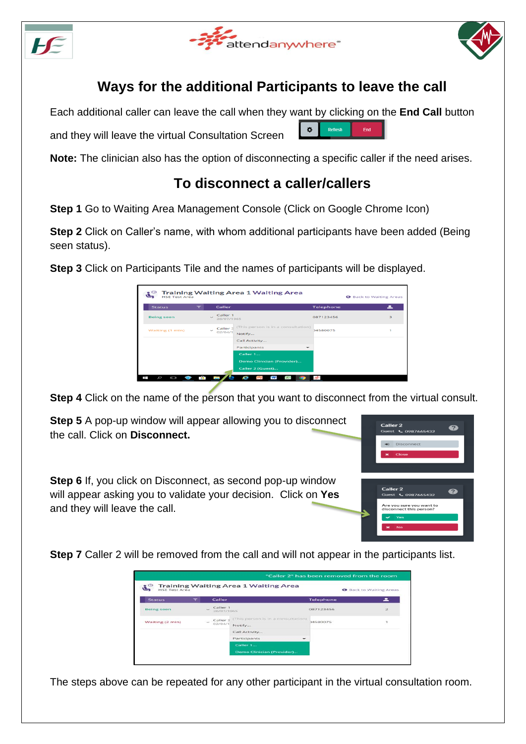





# **Ways for the additional Participants to leave the call**

Each additional caller can leave the call when they want by clicking on the **End Call** button

and they will leave the virtual Consultation Screen

**Note:** The clinician also has the option of disconnecting a specific caller if the need arises.

## **To disconnect a caller/callers**

**Step 1** Go to Waiting Area Management Console (Click on Google Chrome Icon)

**Step 2** Click on Caller's name, with whom additional participants have been added (Being seen status).

**Step 3** Click on Participants Tile and the names of participants will be displayed.

| <b>HSE Test Area</b> | <b>G</b> Back to Waiting Areas |                        |                                              |                  |   |
|----------------------|--------------------------------|------------------------|----------------------------------------------|------------------|---|
| <b>Status</b>        | ▼                              | Caller                 |                                              | <b>Telephone</b> | ∸ |
| <b>Being seen</b>    | $\sim$                         | Caller 1<br>26/07/1965 |                                              | 087123456        | 3 |
| Waiting (1 min)      | $\tilde{}$                     | Caller 3<br>02/04/1    | (This person is in a consultation)<br>Notify | 04580075         |   |
|                      |                                |                        | Call Activity                                |                  |   |
|                      |                                |                        | Participants                                 |                  |   |
|                      |                                |                        | Caller 1                                     |                  |   |
|                      |                                |                        | Demo Clinician (Provider)                    |                  |   |
|                      |                                |                        | Caller 2 (Guest)                             |                  |   |

**Step 4** Click on the name of the person that you want to disconnect from the virtual consult.

**Step 5** A pop-up window will appear allowing you to disconnect the call. Click on **Disconnect.**

**Step 6** If, you click on Disconnect, as second pop-up window will appear asking you to validate your decision. Click on **Yes** and they will leave the call.

**Step 7** Caller 2 will be removed from the call and will not appear in the participants list.

| <b>Training Waiting Area 1 Waiting Area</b><br><b>HSE Test Area</b> |                                 | <b>G</b> Back to Waiting Areas                |           |                |
|---------------------------------------------------------------------|---------------------------------|-----------------------------------------------|-----------|----------------|
| <b>Status</b>                                                       | Caller                          |                                               | Telephone | ∸              |
| Being seen                                                          | Caller <sub>1</sub>             | 26/07/1965                                    | 087123456 | $\overline{z}$ |
| Waiting (2 min)                                                     | Caller 3<br>$\omega$<br>02/04/1 | (This person is in a consultation).<br>Notify | 04580075  |                |
|                                                                     |                                 | Call Activity                                 |           |                |
|                                                                     |                                 | Participants                                  |           |                |
|                                                                     |                                 | Caller 1                                      |           |                |
|                                                                     |                                 | Demo Clinician (Provider)                     |           |                |

The steps above can be repeated for any other participant in the virtual consultation room.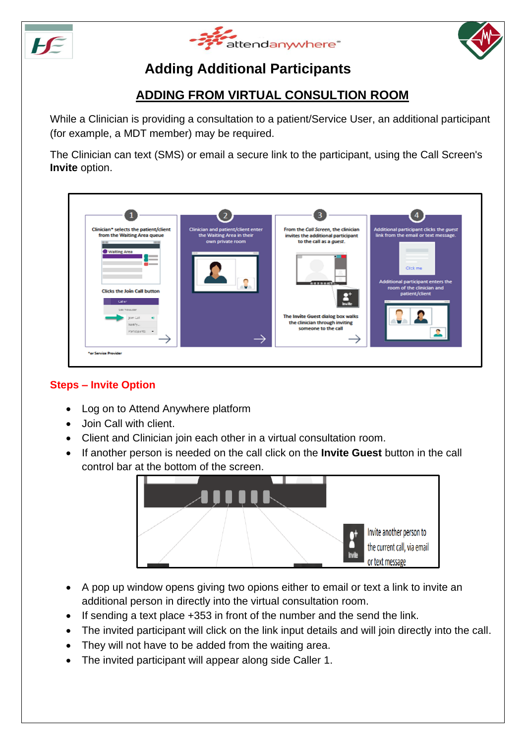





# **Adding Additional Participants**

## **ADDING FROM VIRTUAL CONSULTION ROOM**

While a Clinician is providing a consultation to a patient/Service User, an additional participant (for example, a MDT member) may be required.

The Clinician can text (SMS) or email a secure link to the participant, using the Call Screen's **Invite** option.

| Clinician* selects the patient/client<br>from the Waiting Area queue<br><b>Waiting Area</b><br><b>Clicks the Join Call button</b><br>Caller:<br><b>Daki Tribus, day</b><br>Joint Call<br>Notify<br>Participants | Clinician and patient/client enter<br>the Waiting Area in their<br>own private room | From the Call Screen, the clinician<br>invites the additional participant<br>to the call as a guest.<br><b>ASSESSED</b><br>Р<br>Invite<br>The Invite Guest dialog box walks<br>the clinician through inviting<br>someone to the call | Additional participant clicks the guest<br>link from the email or text message.<br>Click me<br>Additional participant enters the<br>room of the clinician and<br>patient/client |
|-----------------------------------------------------------------------------------------------------------------------------------------------------------------------------------------------------------------|-------------------------------------------------------------------------------------|--------------------------------------------------------------------------------------------------------------------------------------------------------------------------------------------------------------------------------------|---------------------------------------------------------------------------------------------------------------------------------------------------------------------------------|

#### **Steps – Invite Option**

- Log on to Attend Anywhere platform
- Join Call with client.
- Client and Clinician join each other in a virtual consultation room.
- If another person is needed on the call click on the **Invite Guest** button in the call control bar at the bottom of the screen.



- A pop up window opens giving two opions either to email or text a link to invite an additional person in directly into the virtual consultation room.
- If sending a text place +353 in front of the number and the send the link.
- The invited participant will click on the link input details and will join directly into the call.
- They will not have to be added from the waiting area.
- The invited participant will appear along side Caller 1.